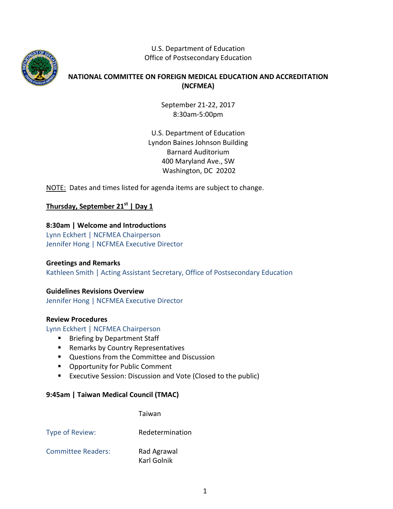

U.S. Department of Education Office of Postsecondary Education

# **NATIONAL COMMITTEE ON FOREIGN MEDICAL EDUCATION AND ACCREDITATION (NCFMEA)**

September 21-22, 2017 8:30am-5:00pm

U.S. Department of Education Lyndon Baines Johnson Building Barnard Auditorium 400 Maryland Ave., SW Washington, DC 20202

NOTE: Dates and times listed for agenda items are subject to change.

**Thursday, September 21st | Day 1**

# **8:30am | Welcome and Introductions**

Lynn Eckhert | NCFMEA Chairperson Jennifer Hong | NCFMEA Executive Director

## **Greetings and Remarks**

Kathleen Smith | Acting Assistant Secretary, Office of Postsecondary Education

## **Guidelines Revisions Overview**

Jennifer Hong | NCFMEA Executive Director

## **Review Procedures**

Lynn Eckhert | NCFMEA Chairperson

- Briefing by Department Staff
- **Remarks by Country Representatives**
- **Questions from the Committee and Discussion**
- **Opportunity for Public Comment**
- **EXECUTE:** Executive Session: Discussion and Vote (Closed to the public)

## **9:45am | Taiwan Medical Council (TMAC)**

Taiwan

Type of Review: Redetermination

Committee Readers: Rad Agrawal Karl Golnik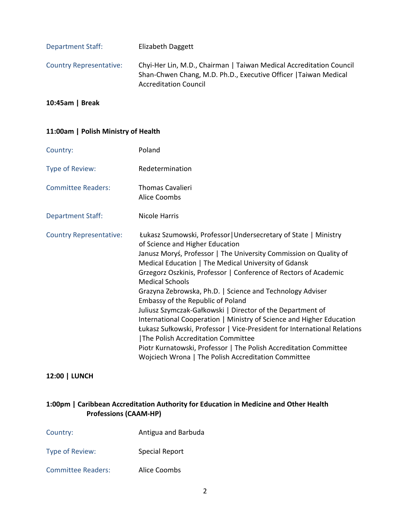| <b>Department Staff:</b>       | Elizabeth Daggett                                                                                                                                                       |
|--------------------------------|-------------------------------------------------------------------------------------------------------------------------------------------------------------------------|
| <b>Country Representative:</b> | Chyi-Her Lin, M.D., Chairman   Taiwan Medical Accreditation Council<br>Shan-Chwen Chang, M.D. Ph.D., Executive Officer   Taiwan Medical<br><b>Accreditation Council</b> |

## **10:45am | Break**

#### **11:00am | Polish Ministry of Health**

| Country:                       | Poland                                                                                                                                                                                                                                                                                                                                                                                                                                                                                                                                                                                                                                                                                                                                                                                                               |
|--------------------------------|----------------------------------------------------------------------------------------------------------------------------------------------------------------------------------------------------------------------------------------------------------------------------------------------------------------------------------------------------------------------------------------------------------------------------------------------------------------------------------------------------------------------------------------------------------------------------------------------------------------------------------------------------------------------------------------------------------------------------------------------------------------------------------------------------------------------|
| Type of Review:                | Redetermination                                                                                                                                                                                                                                                                                                                                                                                                                                                                                                                                                                                                                                                                                                                                                                                                      |
| <b>Committee Readers:</b>      | <b>Thomas Cavalieri</b><br><b>Alice Coombs</b>                                                                                                                                                                                                                                                                                                                                                                                                                                                                                                                                                                                                                                                                                                                                                                       |
| <b>Department Staff:</b>       | Nicole Harris                                                                                                                                                                                                                                                                                                                                                                                                                                                                                                                                                                                                                                                                                                                                                                                                        |
| <b>Country Representative:</b> | Łukasz Szumowski, Professor   Undersecretary of State   Ministry<br>of Science and Higher Education<br>Janusz Moryś, Professor   The University Commission on Quality of<br>Medical Education   The Medical University of Gdansk<br>Grzegorz Oszkinis, Professor   Conference of Rectors of Academic<br><b>Medical Schools</b><br>Grazyna Zebrowska, Ph.D.   Science and Technology Adviser<br>Embassy of the Republic of Poland<br>Juliusz Szymczak-Gałkowski   Director of the Department of<br>International Cooperation   Ministry of Science and Higher Education<br>Łukasz Sułkowski, Professor   Vice-President for International Relations<br>The Polish Accreditation Committee<br>Piotr Kurnatowski, Professor   The Polish Accreditation Committee<br>Wojciech Wrona   The Polish Accreditation Committee |

# **12:00 | LUNCH**

# **1:00pm | Caribbean Accreditation Authority for Education in Medicine and Other Health Professions (CAAM-HP)**

| Country: | Antigua and Barbuda |
|----------|---------------------|
|----------|---------------------|

Type of Review: Special Report

Committee Readers: Alice Coombs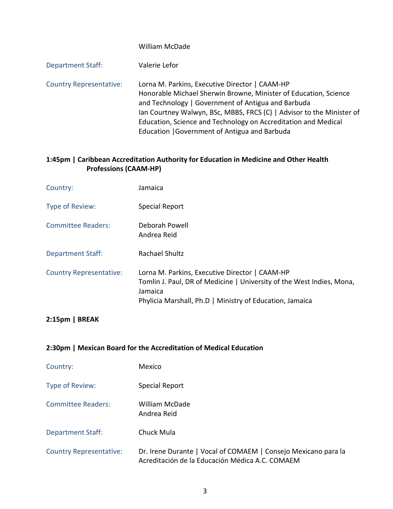# William McDade Department Staff: Valerie Lefor Country Representative: Lorna M. Parkins, Executive Director | CAAM-HP Honorable Michael Sherwin Browne, Minister of Education, Science and Technology | Government of Antigua and Barbuda Ian Courtney Walwyn, BSc, MBBS, FRCS (C) | Advisor to the Minister of Education, Science and Technology on Accreditation and Medical Education |Government of Antigua and Barbuda

## **1:45pm | Caribbean Accreditation Authority for Education in Medicine and Other Health Professions (CAAM-HP)**

| Country:                       | Jamaica                                                                                                                                                                                        |
|--------------------------------|------------------------------------------------------------------------------------------------------------------------------------------------------------------------------------------------|
| Type of Review:                | Special Report                                                                                                                                                                                 |
| <b>Committee Readers:</b>      | Deborah Powell<br>Andrea Reid                                                                                                                                                                  |
| <b>Department Staff:</b>       | Rachael Shultz                                                                                                                                                                                 |
| <b>Country Representative:</b> | Lorna M. Parkins, Executive Director   CAAM-HP<br>Tomlin J. Paul, DR of Medicine   University of the West Indies, Mona,<br>Jamaica<br>Phylicia Marshall, Ph.D   Ministry of Education, Jamaica |

## **2:15pm | BREAK**

## **2:30pm | Mexican Board for the Accreditation of Medical Education**

| Country:                       | Mexico                                                                                                            |
|--------------------------------|-------------------------------------------------------------------------------------------------------------------|
| Type of Review:                | Special Report                                                                                                    |
| <b>Committee Readers:</b>      | <b>William McDade</b><br>Andrea Reid                                                                              |
| <b>Department Staff:</b>       | Chuck Mula                                                                                                        |
| <b>Country Representative:</b> | Dr. Irene Durante   Vocal of COMAEM   Consejo Mexicano para la<br>Acreditación de la Educación Médica A.C. COMAEM |